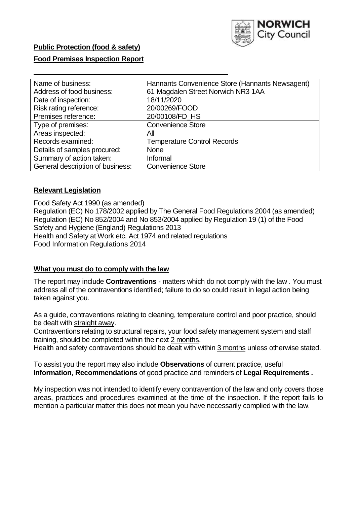

# **Public Protection (food & safety)**

## **Food Premises Inspection Report**

| Name of business:                | Hannants Convenience Store (Hannants Newsagent) |
|----------------------------------|-------------------------------------------------|
| Address of food business:        | 61 Magdalen Street Norwich NR3 1AA              |
| Date of inspection:              | 18/11/2020                                      |
| Risk rating reference:           | 20/00269/FOOD                                   |
| Premises reference:              | 20/00108/FD HS                                  |
| Type of premises:                | <b>Convenience Store</b>                        |
| Areas inspected:                 | All                                             |
| Records examined:                | <b>Temperature Control Records</b>              |
| Details of samples procured:     | <b>None</b>                                     |
| Summary of action taken:         | Informal                                        |
| General description of business: | <b>Convenience Store</b>                        |

### **Relevant Legislation**

 Food Safety Act 1990 (as amended) Regulation (EC) No 178/2002 applied by The General Food Regulations 2004 (as amended) Regulation (EC) No 852/2004 and No 853/2004 applied by Regulation 19 (1) of the Food Safety and Hygiene (England) Regulations 2013 Health and Safety at Work etc. Act 1974 and related regulations Food Information Regulations 2014

#### **What you must do to comply with the law**

 The report may include **Contraventions** - matters which do not comply with the law . You must address all of the contraventions identified; failure to do so could result in legal action being taken against you.

 As a guide, contraventions relating to cleaning, temperature control and poor practice, should be dealt with straight away.

 Contraventions relating to structural repairs, your food safety management system and staff training, should be completed within the next 2 months.

Health and safety contraventions should be dealt with within 3 months unless otherwise stated.

 To assist you the report may also include **Observations** of current practice, useful **Information**, **Recommendations** of good practice and reminders of **Legal Requirements .** 

 My inspection was not intended to identify every contravention of the law and only covers those areas, practices and procedures examined at the time of the inspection. If the report fails to mention a particular matter this does not mean you have necessarily complied with the law.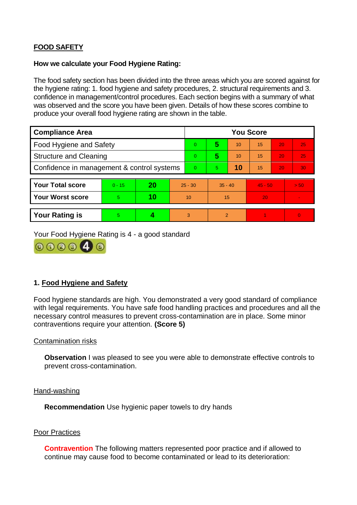# **FOOD SAFETY**

## **How we calculate your Food Hygiene Rating:**

 The food safety section has been divided into the three areas which you are scored against for the hygiene rating: 1. food hygiene and safety procedures, 2. structural requirements and 3. confidence in management/control procedures. Each section begins with a summary of what was observed and the score you have been given. Details of how these scores combine to produce your overall food hygiene rating are shown in the table.

| <b>Compliance Area</b>                     |          |    |           | <b>You Score</b> |                |    |           |    |                |  |  |
|--------------------------------------------|----------|----|-----------|------------------|----------------|----|-----------|----|----------------|--|--|
| Food Hygiene and Safety                    |          |    |           | $\Omega$         | 5              | 10 | 15        | 20 | 25             |  |  |
| <b>Structure and Cleaning</b>              |          |    | $\Omega$  | 5                | 10             | 15 | 20        | 25 |                |  |  |
| Confidence in management & control systems |          |    | $\Omega$  | 5.               | 10             | 15 | 20        | 30 |                |  |  |
|                                            |          |    |           |                  |                |    |           |    |                |  |  |
| <b>Your Total score</b>                    | $0 - 15$ | 20 | $25 - 30$ |                  | $35 - 40$      |    | $45 - 50$ |    | > 50           |  |  |
| <b>Your Worst score</b>                    | 5        | 10 | 10        |                  | 15             |    | 20        |    | $\blacksquare$ |  |  |
|                                            |          |    |           |                  |                |    |           |    |                |  |  |
| <b>Your Rating is</b>                      | 5        |    |           | 3                | $\overline{2}$ |    |           |    | $\Omega$       |  |  |

Your Food Hygiene Rating is 4 - a good standard



# **1. Food Hygiene and Safety**

 with legal requirements. You have safe food handling practices and procedures and all the Food hygiene standards are high. You demonstrated a very good standard of compliance necessary control measures to prevent cross-contamination are in place. Some minor contraventions require your attention. **(Score 5)** 

#### Contamination risks

**Observation** I was pleased to see you were able to demonstrate effective controls to prevent cross-contamination.

#### Hand-washing

**Recommendation** Use hygienic paper towels to dry hands

#### Poor Practices

 continue may cause food to become contaminated or lead to its deterioration: **Contravention** The following matters represented poor practice and if allowed to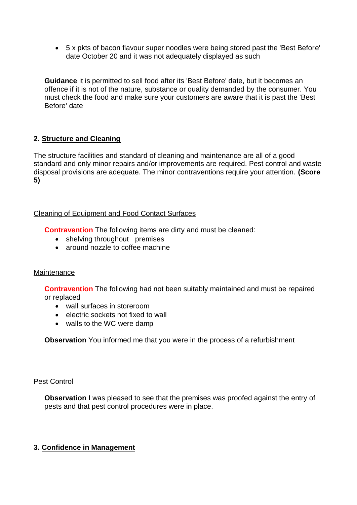5 x pkts of bacon flavour super noodles were being stored past the 'Best Before' date October 20 and it was not adequately displayed as such

**Guidance** it is permitted to sell food after its 'Best Before' date, but it becomes an offence if it is not of the nature, substance or quality demanded by the consumer. You must check the food and make sure your customers are aware that it is past the 'Best Before' date

# **2. Structure and Cleaning**

The structure facilities and standard of cleaning and maintenance are all of a good standard and only minor repairs and/or improvements are required. Pest control and waste disposal provisions are adequate. The minor contraventions require your attention. **(Score 5)** 

## Cleaning of Equipment and Food Contact Surfaces

**Contravention** The following items are dirty and must be cleaned:

- shelving throughout premises
- around nozzle to coffee machine

## **Maintenance**

**Contravention** The following had not been suitably maintained and must be repaired or replaced

- wall surfaces in storeroom
- electric sockets not fixed to wall
- walls to the WC were damp

**Observation** You informed me that you were in the process of a refurbishment

## Pest Control

**Observation** I was pleased to see that the premises was proofed against the entry of pests and that pest control procedures were in place.

# **3. Confidence in Management**